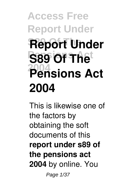## **Access Free Report Under S89 Of The Report Under S89 Of The 2004 Pensions Act 2004**

This is likewise one of the factors by obtaining the soft documents of this **report under s89 of the pensions act 2004** by online. You

Page 1/37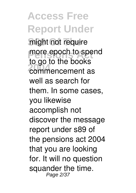**Access Free Report Under** might not require more epoch to spend<br>to se to the health **2004** commencement as to go to the books well as search for them. In some cases, you likewise accomplish not discover the message report under s89 of the pensions act 2004 that you are looking for. It will no question squander the time. Page 2/37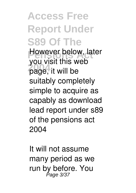**Access Free Report Under S89 Of The However below, later 2004** page, it will be you visit this web suitably completely simple to acquire as capably as download lead report under s89 of the pensions act 2004

It will not assume many period as we run by before. You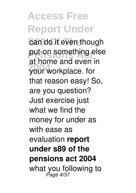**Access Free Report Under** can do it even though put-on something else **2004** your workplace. for at home and even in that reason easy! So, are you question? Just exercise just what we find the money for under as with ease as evaluation **report under s89 of the pensions act 2004** what you following to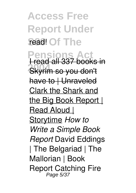**Access Free Report Under** read! Of The

**Pensions 2004** Skyrim so you don't I read all 337 books in have to | Unraveled Clark the Shark and the Big Book Report | Read Aloud | Storytime *How to Write a Simple Book Report* David Eddings | The Belgariad | The Mallorian | Book Report Catching Fire Page 5/37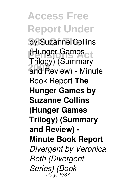**Access Free Report Under** by Suzanne Collins (Hunger Games<br>Trilogy) (Cummon) **2004** and Review) - Minute Trilogy) (Summary Book Report **The Hunger Games by Suzanne Collins (Hunger Games Trilogy) (Summary and Review) - Minute Book Report** *Divergent by Veronica Roth (Divergent Series) (Book*  $P$ age 6.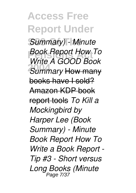**Access Free Report Under** Summary) - Minute **Pensions Act** *Book Report How To* **2004** *Summary* How many *Write A GOOD Book* books have I sold? Amazon KDP book report tools *To Kill a Mockingbird by Harper Lee (Book Summary) - Minute Book Report How To Write a Book Report - Tip #3 - Short versus Long Books (Minute* Page 7/37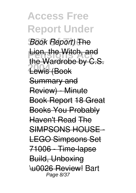**Access Free Report Under S89 Of The** *Book Report)* The **Lion, the Witch, and 2004** Lewis (Book the Wardrobe by C.S. Summary and Review) - Minute Book Report 18 Great Books You Probably Haven't Read The SIMPSONS HOUSE - LEGO Simpsons Set 71006 - Time-lapse Build, Unboxing \u0026 Review! Bart Page 8/37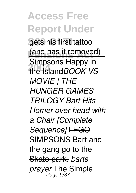**Access Free Report Under** gets his first tattoo (and has it removed) **2004** the Island*BOOK VS* Simpsons Happy in *MOVIE | THE HUNGER GAMES TRILOGY Bart Hits Homer over head with a Chair [Complete Sequence]* LEGO SIMPSONS Bart and the gang go to the Skate park. *barts prayer* The Simple Page 9/37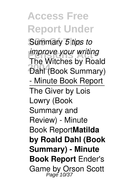**Access Free Report Under Summary 5 tips to** *improve your writing*<br>The Witches by Rea **Dahl (Book Summary)** The Witches by Roald - Minute Book Report The Giver by Lois Lowry (Book Summary and Review) - Minute Book Report**Matilda by Roald Dahl (Book Summary) - Minute Book Report** Ender's Game by Orson Scott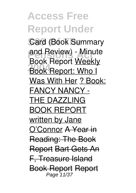**Access Free Report Under Card (Book Summary** and Review) - Minute<br> **Peak Banart Weakly 2006** Report: Who I Book Report Weekly Was With Her ? Book: FANCY NANCY - THE DAZZLING BOOK REPORT written by Jane O'Connor A Year in Reading: The Book Report Bart Gets An F, Treasure Island Book Report Report Page 11/37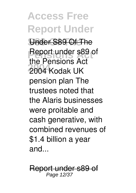**Access Free Report Under S89 Of The** Under S89 Of The **Report under s89 of 2004** 2004 Kodak UK the Pensions Act pension plan The trustees noted that the Alaris businesses were proitable and cash generative, with combined revenues of \$1.4 billion a year and...

nder s89 of Page 12/37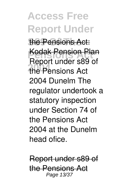**Access Free Report Under** the Pensions Act: **Kodak Pension Plan 2004** the Pensions Act Report under s89 of 2004 Dunelm The regulator undertook a statutory inspection under Section 74 of the Pensions Act 2004 at the Dunelm head ofice.

Report under s89 of the Pensions Act Page 13/37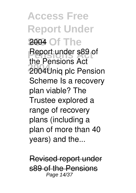**Access Free Report Under** 2004 Of The **Report under s89 of 2004** 2004Uniq plc Pension the Pensions Act Scheme Is a recovery plan viable? The Trustee explored a range of recovery plans (including a plan of more than 40 years) and the...

Revised report under s89 of the Pensions Page 14/37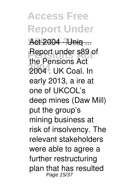**Access Free Report Under S89 Of The** Act 2004 - Uniq ... **Report under s89 of 2004** 2004 . UK Coal. In the Pensions Act early 2013, a ire at one of UKCOL's deep mines (Daw Mill) put the group's mining business at risk of insolvency. The relevant stakeholders were able to agree a further restructuring plan that has resulted Page 15/37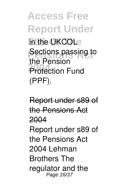**Access Free Report Under** in the UKCOLe **Sections passing to Protection Fund** the Pension (PPF).

Report under s89 of the Pensions Act 2004 Report under s89 of the Pensions Act 2004 Lehman Brothers The regulator and the Page 16/37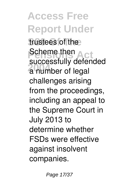**Access Free Report Under** trustees of the **Pensystem**<br>Suppose then Act **2004** a number of legal successfully defended challenges arising from the proceedings, including an appeal to the Supreme Court in July 2013 to determine whether FSDs were effective against insolvent companies.

Page 17/37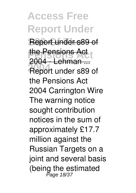**Access Free Report Under Report under s89 of Pensions Act** the Pensions Act **2004** Report under s89 of 2004 - Lehman ... the Pensions Act 2004 Carrington Wire The warning notice sought contribution notices in the sum of approximately £17.7 million against the Russian Targets on a joint and several basis (being the estimated<br>
Page 18/37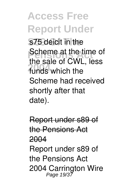**Access Free Report Under** s75 deicit in the **Scheme at the time of 2004** funds which the the sale of CWL, less Scheme had received shortly after that date).

Report under s89 of the Pensions Act 2004 Report under s89 of the Pensions Act 2004 Carrington Wire Page 19/37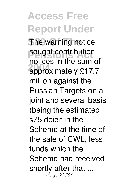**Access Free Report Under The warning notice** sought contribution **2004** approximately £17.7 notices in the sum of million against the Russian Targets on a joint and several basis (being the estimated s75 deicit in the Scheme at the time of the sale of CWL, less funds which the Scheme had received shortly after that ... Page 20/37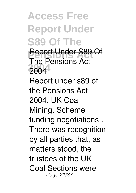**Access Free Report Under S89 Of The**

**Report Under S89 Of 2004** 2004 The Pensions Act

Report under s89 of the Pensions Act 2004. UK Coal Mining. Scheme funding negotiations . There was recognition by all parties that, as matters stood, the trustees of the UK Coal Sections were Page 21/37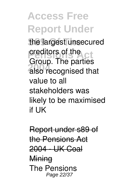**Access Free Report Under** the largest unsecured **Preditors of the Ct 2004** also recognised that Group. The parties value to all stakeholders was likely to be maximised if UK

Report under s89 of the Pensions Act 2004 - UK Coal **Mining** The Pensions Page 22/37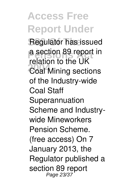**Access Free Report Under Regulator has issued** a section 89 report in **2004** Mining sections relation to the UK of the Industry-wide Coal Staff Superannuation Scheme and Industrywide Mineworkers Pension Scheme. (free access) On 7 January 2013, the Regulator published a section 89 report Page 23/37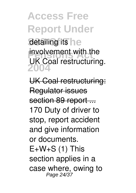**Access Free Report Under** detailing its **ne involvement with the 2004** UK Coal restructuring.

UK Coal restructuring: Regulator issues section 89 report ... 170 Duty of driver to stop, report accident and give information or documents.  $E+W+S$  (1) This section applies in a case where, owing to Page 24/37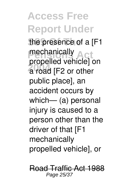**Access Free Report Under** the presence of a [F1 mechanically<br>menalled vehicle **2004** a road [F2 or other propelled vehicle] on public place], an accident occurs by which— (a) personal injury is caused to a person other than the driver of that [F1 mechanically propelled vehicle], or

Road Traffic Act 1988 Page 25/37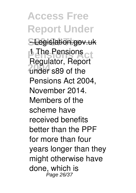**Access Free Report Under SLegislation.gov.uk 1** The Pensions ct **2004** under s89 of the Regulator, Report Pensions Act 2004, November 2014. Members of the scheme have received benefits better than the PPF for more than four years longer than they might otherwise have done, which is Page 26/37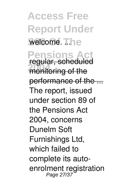**Access Free Report Under** welcome. ... he **Pensions 2006** monitoring of the regular, scheduled performance of the ... The report, issued under section 89 of the Pensions Act 2004, concerns Dunelm Soft Furnishings Ltd, which failed to complete its autoenrolment registration Page 27/37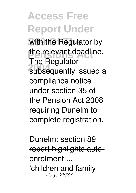**Access Free Report Under** with the Regulator by the relevant deadline. **2006**<br>**2005**<br>**2006**<br>**2006**<br>**2006**<br>**2006**<br>**2006**<br>**2006**<br>**2006** The Regulator compliance notice under section 35 of the Pension Act 2008 requiring Dunelm to complete registration.

Dunelm: section 89 report highlights autoenrolment .... 'children and family Page 28/37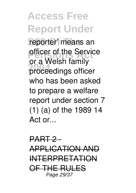**Access Free Report Under** reporter' means an **Perfect** of the Service **2004** proceedings officer or a Welsh family who has been asked to prepare a welfare report under section 7 (1) (a) of the 1989 14 Act or...

PART 2-APPLICATION AND INTERPRETATION OF THE RULES Page 29/37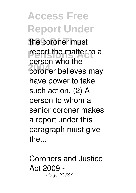**Access Free Report Under** the coroner must report the matter to a **2004** coroner believes may person who the have power to take such action. (2) A person to whom a senior coroner makes a report under this paragraph must give the...

Coroners and Justice Act 2009 Page 30/37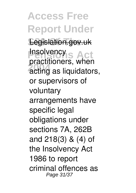**Access Free Report Under S89 Of The** Legislation.gov.uk **Insolvency**<br> **Proprietions 2004** acting as liquidators, practitioners, when or supervisors of voluntary arrangements have specific legal obligations under sections 7A, 262B and 218(3) & (4) of the Insolvency Act 1986 to report criminal offences as Page 31/37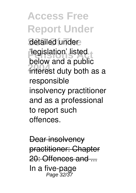**Access Free Report Under** detailed under 'legislation' listed<br>belauseed a nublie **2004** interest duty both as a below and a public responsible insolvency practitioner and as a professional to report such offences.

Dear insolvency practitioner: Chapter 20: Offences and ... In a five-page Page 32/37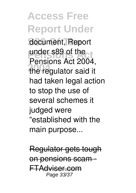**Access Free Report Under** document, Report **Pensions Act** under s89 of the **2004** the regulator said it Pensions Act 2004, had taken legal action to stop the use of several schemes it judged were "established with the main purpose...

Regulator gets tough on pensions scam FTAdviser.com Page 33/37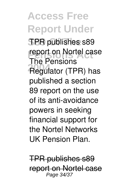**Access Free Report Under S89 Of The** TPR publishes s89 report on Nortel case **2004** Regulator (TPR) has The Pensions published a section 89 report on the use of its anti-avoidance powers in seeking financial support for the Nortel Networks UK Pension Plan.

TPR publishes s89 report on Nortel case Page 34/37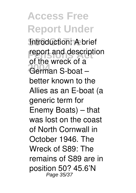**Access Free Report Under Introduction: A brief report and description 2004** German S-boat – of the wreck of a better known to the Allies as an E-boat (a generic term for Enemy Boats) – that was lost on the coast of North Cornwall in October 1946. The Wreck of S89: The remains of S89 are in position 50? 45.6'N Page 35/37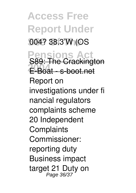**Access Free Report Under S89 Of The** 004? 38.3'W (OS **Pensions 2004** E-Boat - s-boot.net S89: The Crackington Report on investigations under fi nancial regulators complaints scheme 20 Independent **Complaints** Commissioner: reporting duty Business impact target 21 Duty on<br>Page 36/37